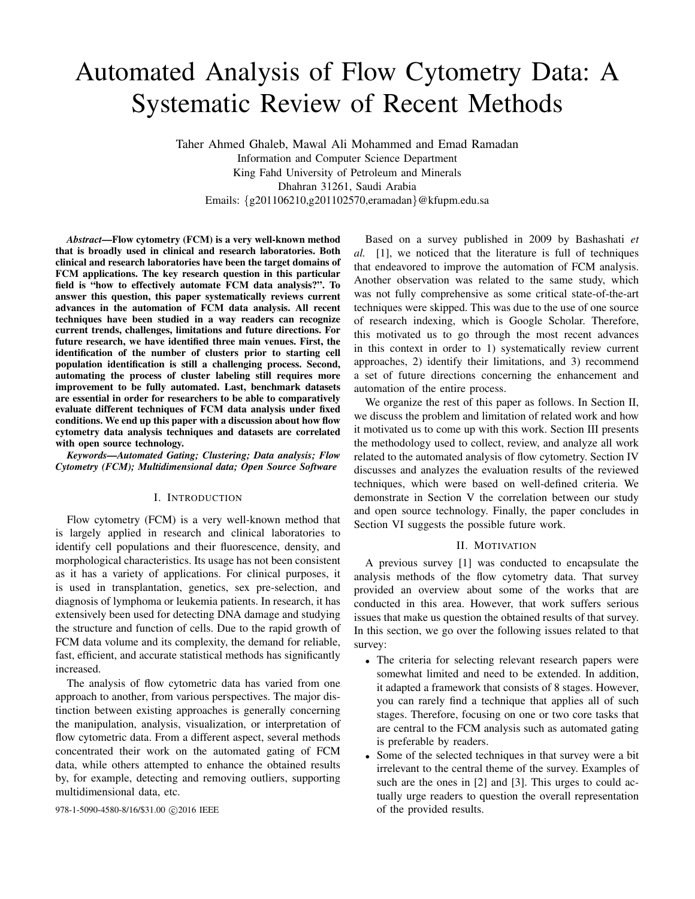# Automated Analysis of Flow Cytometry Data: A Systematic Review of Recent Methods

Taher Ahmed Ghaleb, Mawal Ali Mohammed and Emad Ramadan Information and Computer Science Department King Fahd University of Petroleum and Minerals Dhahran 31261, Saudi Arabia Emails: {g201106210,g201102570,eramadan}@kfupm.edu.sa

*Abstract*—Flow cytometry (FCM) is a very well-known method that is broadly used in clinical and research laboratories. Both clinical and research laboratories have been the target domains of FCM applications. The key research question in this particular field is "how to effectively automate FCM data analysis?". To answer this question, this paper systematically reviews current advances in the automation of FCM data analysis. All recent techniques have been studied in a way readers can recognize current trends, challenges, limitations and future directions. For future research, we have identified three main venues. First, the identification of the number of clusters prior to starting cell population identification is still a challenging process. Second, automating the process of cluster labeling still requires more improvement to be fully automated. Last, benchmark datasets are essential in order for researchers to be able to comparatively evaluate different techniques of FCM data analysis under fixed conditions. We end up this paper with a discussion about how flow cytometry data analysis techniques and datasets are correlated with open source technology.

*Keywords—Automated Gating; Clustering; Data analysis; Flow Cytometry (FCM); Multidimensional data; Open Source Software*

### I. INTRODUCTION

Flow cytometry (FCM) is a very well-known method that is largely applied in research and clinical laboratories to identify cell populations and their fluorescence, density, and morphological characteristics. Its usage has not been consistent as it has a variety of applications. For clinical purposes, it is used in transplantation, genetics, sex pre-selection, and diagnosis of lymphoma or leukemia patients. In research, it has extensively been used for detecting DNA damage and studying the structure and function of cells. Due to the rapid growth of FCM data volume and its complexity, the demand for reliable, fast, efficient, and accurate statistical methods has significantly increased.

The analysis of flow cytometric data has varied from one approach to another, from various perspectives. The major distinction between existing approaches is generally concerning the manipulation, analysis, visualization, or interpretation of flow cytometric data. From a different aspect, several methods concentrated their work on the automated gating of FCM data, while others attempted to enhance the obtained results by, for example, detecting and removing outliers, supporting multidimensional data, etc.

978-1-5090-4580-8/16/\$31.00  $\odot$ 2016 IEEE of the provided results.

Based on a survey published in 2009 by Bashashati *et al.* [1], we noticed that the literature is full of techniques that endeavored to improve the automation of FCM analysis. Another observation was related to the same study, which was not fully comprehensive as some critical state-of-the-art techniques were skipped. This was due to the use of one source of research indexing, which is Google Scholar. Therefore, this motivated us to go through the most recent advances in this context in order to 1) systematically review current approaches, 2) identify their limitations, and 3) recommend a set of future directions concerning the enhancement and automation of the entire process.

We organize the rest of this paper as follows. In Section II, we discuss the problem and limitation of related work and how it motivated us to come up with this work. Section III presents the methodology used to collect, review, and analyze all work related to the automated analysis of flow cytometry. Section IV discusses and analyzes the evaluation results of the reviewed techniques, which were based on well-defined criteria. We demonstrate in Section V the correlation between our study and open source technology. Finally, the paper concludes in Section VI suggests the possible future work.

### II. MOTIVATION

A previous survey [1] was conducted to encapsulate the analysis methods of the flow cytometry data. That survey provided an overview about some of the works that are conducted in this area. However, that work suffers serious issues that make us question the obtained results of that survey. In this section, we go over the following issues related to that survey:

- The criteria for selecting relevant research papers were somewhat limited and need to be extended. In addition, it adapted a framework that consists of 8 stages. However, you can rarely find a technique that applies all of such stages. Therefore, focusing on one or two core tasks that are central to the FCM analysis such as automated gating is preferable by readers.
- Some of the selected techniques in that survey were a bit irrelevant to the central theme of the survey. Examples of such are the ones in [2] and [3]. This urges to could actually urge readers to question the overall representation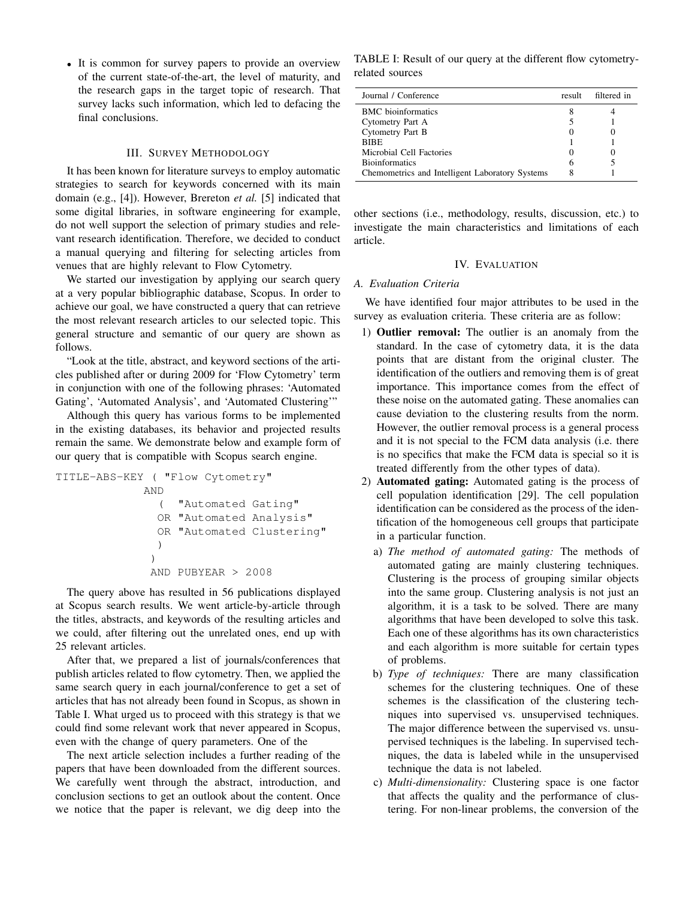• It is common for survey papers to provide an overview of the current state-of-the-art, the level of maturity, and the research gaps in the target topic of research. That survey lacks such information, which led to defacing the final conclusions.

### III. SURVEY METHODOLOGY

It has been known for literature surveys to employ automatic strategies to search for keywords concerned with its main domain (e.g., [4]). However, Brereton *et al.* [5] indicated that some digital libraries, in software engineering for example, do not well support the selection of primary studies and relevant research identification. Therefore, we decided to conduct a manual querying and filtering for selecting articles from venues that are highly relevant to Flow Cytometry.

We started our investigation by applying our search query at a very popular bibliographic database, Scopus. In order to achieve our goal, we have constructed a query that can retrieve the most relevant research articles to our selected topic. This general structure and semantic of our query are shown as follows.

"Look at the title, abstract, and keyword sections of the articles published after or during 2009 for 'Flow Cytometry' term in conjunction with one of the following phrases: 'Automated Gating', 'Automated Analysis', and 'Automated Clustering'"

Although this query has various forms to be implemented in the existing databases, its behavior and projected results remain the same. We demonstrate below and example form of our query that is compatible with Scopus search engine.

```
TITLE-ABS-KEY ( "Flow Cytometry"
 AND
   ( "Automated Gating"
   OR "Automated Analysis"
   OR "Automated Clustering"
   )
  )
  AND PUBYEAR > 2008
```
The query above has resulted in 56 publications displayed at Scopus search results. We went article-by-article through the titles, abstracts, and keywords of the resulting articles and we could, after filtering out the unrelated ones, end up with 25 relevant articles.

After that, we prepared a list of journals/conferences that publish articles related to flow cytometry. Then, we applied the same search query in each journal/conference to get a set of articles that has not already been found in Scopus, as shown in Table I. What urged us to proceed with this strategy is that we could find some relevant work that never appeared in Scopus, even with the change of query parameters. One of the

The next article selection includes a further reading of the papers that have been downloaded from the different sources. We carefully went through the abstract, introduction, and conclusion sections to get an outlook about the content. Once we notice that the paper is relevant, we dig deep into the

TABLE I: Result of our query at the different flow cytometryrelated sources

| Journal / Conference                            | result | filtered in |
|-------------------------------------------------|--------|-------------|
| <b>BMC</b> bioinformatics                       |        |             |
| Cytometry Part A                                |        |             |
| Cytometry Part B                                |        |             |
| <b>BIBE</b>                                     |        |             |
| Microbial Cell Factories                        |        |             |
| <b>Bioinformatics</b>                           |        |             |
| Chemometrics and Intelligent Laboratory Systems |        |             |

other sections (i.e., methodology, results, discussion, etc.) to investigate the main characteristics and limitations of each article.

### IV. EVALUATION

### *A. Evaluation Criteria*

We have identified four major attributes to be used in the survey as evaluation criteria. These criteria are as follow:

- 1) Outlier removal: The outlier is an anomaly from the standard. In the case of cytometry data, it is the data points that are distant from the original cluster. The identification of the outliers and removing them is of great importance. This importance comes from the effect of these noise on the automated gating. These anomalies can cause deviation to the clustering results from the norm. However, the outlier removal process is a general process and it is not special to the FCM data analysis (i.e. there is no specifics that make the FCM data is special so it is treated differently from the other types of data).
- 2) Automated gating: Automated gating is the process of cell population identification [29]. The cell population identification can be considered as the process of the identification of the homogeneous cell groups that participate in a particular function.
	- a) *The method of automated gating:* The methods of automated gating are mainly clustering techniques. Clustering is the process of grouping similar objects into the same group. Clustering analysis is not just an algorithm, it is a task to be solved. There are many algorithms that have been developed to solve this task. Each one of these algorithms has its own characteristics and each algorithm is more suitable for certain types of problems.
	- b) *Type of techniques:* There are many classification schemes for the clustering techniques. One of these schemes is the classification of the clustering techniques into supervised vs. unsupervised techniques. The major difference between the supervised vs. unsupervised techniques is the labeling. In supervised techniques, the data is labeled while in the unsupervised technique the data is not labeled.
	- c) *Multi-dimensionality:* Clustering space is one factor that affects the quality and the performance of clustering. For non-linear problems, the conversion of the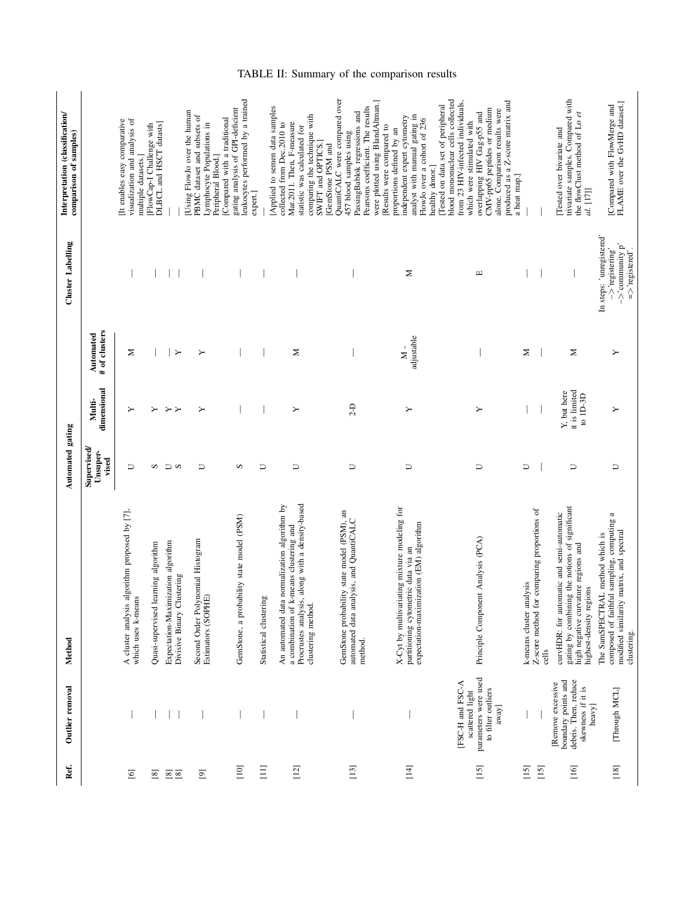| Ref.                                      | Outlier removal                                                                                | Method                                                                                                                                                                  | Automated gating                |                                          |                            | Cluster Labelling                                                                        | Interpretation (classification/<br>comparison of samples)                                                                                                                                                                                |
|-------------------------------------------|------------------------------------------------------------------------------------------------|-------------------------------------------------------------------------------------------------------------------------------------------------------------------------|---------------------------------|------------------------------------------|----------------------------|------------------------------------------------------------------------------------------|------------------------------------------------------------------------------------------------------------------------------------------------------------------------------------------------------------------------------------------|
|                                           |                                                                                                |                                                                                                                                                                         | Supervised<br>Unsuper-<br>vised | dimensional<br>Multi-                    | # of clusters<br>Automated |                                                                                          |                                                                                                                                                                                                                                          |
| ☑                                         |                                                                                                | algorithm proposed by [7],<br>which uses k-means<br>A cluster analysis                                                                                                  | Þ                               | $\blacktriangleright$                    | Σ                          |                                                                                          | It enables easy comparative<br>visualization and analysis of<br>multiple datasets.]                                                                                                                                                      |
| $^{[8]}$                                  |                                                                                                | Quasi-supervised learning algorithm                                                                                                                                     | S                               | ≻                                        |                            |                                                                                          | DLBCL and HSCT datasts]<br>FlowCap-I Challenge with                                                                                                                                                                                      |
| $\Xi$ $\Xi$                               |                                                                                                | Expectation-Maximization algorithm<br>Divisive Binary Clustering                                                                                                        | $\Box$<br>S                     | $\blacktriangleright$<br>Υ               | Υ                          |                                                                                          |                                                                                                                                                                                                                                          |
| $\begin{array}{c} 2 \end{array}$          |                                                                                                | Second Order Polynomial Histogram<br>Estimators (SOPHE)                                                                                                                 | コ                               | ≻                                        | Y                          |                                                                                          | [Using FlowJo over the human<br>PBMC dataset and subsets of<br>Lymphocyte Populations in<br>Peripheral Blood.]                                                                                                                           |
| $[10]$                                    |                                                                                                | GemStone, a probability state model (PSM)                                                                                                                               | s                               |                                          |                            |                                                                                          | leukocytes performed by a trained<br>gating analysis of GPI-deficient<br>Compared with a traditional                                                                                                                                     |
| $\Xi$                                     |                                                                                                | Statistical clustering                                                                                                                                                  | コ                               |                                          |                            |                                                                                          | expert.]                                                                                                                                                                                                                                 |
| $\Xi$                                     |                                                                                                | Procrustes analysis, along with a density-based<br>normalization algorithm by<br>-means clustering and<br>An automated data<br>a combination of k<br>clustering method. | Þ                               | ≻                                        | Σ                          |                                                                                          | [Applied to semen data samples<br>comparing the technique with<br>Mar.2011. Then, F-measure<br>collected from Dec.2010 to<br>statistic was calculated for<br>SWIFT and OPTICS.                                                           |
| $\Xi$                                     |                                                                                                | GemStone probability state model (PSM), an<br>automated data analysis, and QuantiCALC<br>method.                                                                        | コ                               | $\mathsf{C}_2$                           |                            |                                                                                          | QuantiCALC were compared over<br>were plotted using BlandAltman.]<br>Pearsons coefficient. The results<br>PassingBablok regressions and<br>457 blood samples using<br>GemStone PSM and                                                   |
| $\begin{array}{c} \boxed{14} \end{array}$ |                                                                                                | X-Cyt by multivariating mixture modeling for<br>expectation-maximization (EM) algorithm<br>partitioning cytometric data via an                                          | コ                               | Y                                        | adjustable<br>Σ            | Σ                                                                                        | Tested on data set of peripheral<br>analyst with manual gating in<br>independent expert cytometry<br>FlowJo over a cohort of 236<br>[Results were compared to<br>proportions defined by an<br>healthy donor.                             |
| $[15]$                                    | parameters were used<br>FSC-H and FSC-A<br>to filter outliers<br>scattered light<br>away       | Principle Component Analysis (PCA)                                                                                                                                      | $\Box$                          | Y                                        |                            | $\boxed{\mathbf{L}}$                                                                     | blood mononuclear cells collected<br>from 23 HIV-infected individuals,<br>produced as a Z-score matrix and<br>CMV-pp65 peptides or medium<br>alone. Comparison results were<br>overlapping HIV Gag-p55 and<br>which were stimulated with |
| $[15]$                                    |                                                                                                | k-means cluster analysis                                                                                                                                                | Þ                               |                                          | Σ                          |                                                                                          | a heat map.                                                                                                                                                                                                                              |
| $[15]$                                    |                                                                                                | Z-score method for comparing proportions of<br>cells                                                                                                                    |                                 |                                          |                            |                                                                                          |                                                                                                                                                                                                                                          |
| [16]                                      | boundary points and<br>debris. Then, reduce<br>Remove excessive<br>skewness if it is<br>heavy] | gating by combining the notions of significant<br>curvHDR: for automatic and semi-automatic<br>high negative curvature regions and<br>highest-density regions           | コ                               | it is limited<br>Y, but here<br>to 1D-3D | Σ                          |                                                                                          | trivariate samples. Compared with<br>the flowClust method of Lo et<br>Tested over bivariate and<br>al. [17]]                                                                                                                             |
| $[18]$                                    | [Through MCL]                                                                                  | composed of faithful sampling, computing a<br>matrix, and spectral<br>The SamSPECTRAL method which is<br>modified similarity<br>clustering.                             | Þ                               | ≻                                        | ≻                          | In steps: 'unregistered'<br>$-$ >'community p'<br>=>'registered'.<br>$-$ > 'registering' | FLAME over the GvHD dataset.<br>[Compared with FlowMerge and                                                                                                                                                                             |

# TABLE II: Summary of the comparison results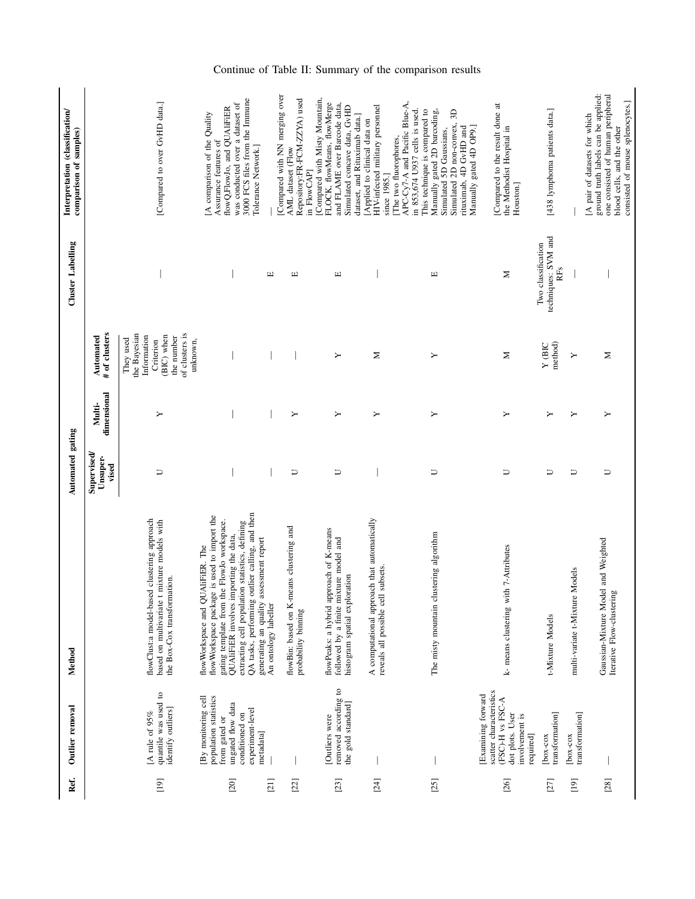| Ref.   | Outlier removal                                                                                                          | Method                                                                                                                                                                                                                                                                          | Automated gating                |                       |                                                                                                    | <b>Cluster Labelling</b>                         | Interpretation (classification/<br>comparison of samples)                                                                                                                                                                                                                |
|--------|--------------------------------------------------------------------------------------------------------------------------|---------------------------------------------------------------------------------------------------------------------------------------------------------------------------------------------------------------------------------------------------------------------------------|---------------------------------|-----------------------|----------------------------------------------------------------------------------------------------|--------------------------------------------------|--------------------------------------------------------------------------------------------------------------------------------------------------------------------------------------------------------------------------------------------------------------------------|
|        |                                                                                                                          |                                                                                                                                                                                                                                                                                 | Supervised<br>Unsuper-<br>vised | dimensional<br>Multi- | # of clusters<br>Automated                                                                         |                                                  |                                                                                                                                                                                                                                                                          |
| $[19]$ | quantile was used to<br>identify outliers]<br>[A rule of $95%$                                                           | flowClust:a model-based clustering approach<br>based on multivariate t mixture models with<br>the Box-Cox transformation.                                                                                                                                                       | $\Box$                          | Υ                     | of clusters is<br>he Bayesian<br>(BIC) when<br>Information<br>the number<br>They used<br>Criterion |                                                  | [Compared to over GvHD data.]                                                                                                                                                                                                                                            |
| [20]   | population statistics<br>[By monitoring cell<br>ungated flow data<br>experiment-level<br>conditioned on<br>from gated or | QA tasks, performing outlier calling, and then<br>is used to import the<br>gating template from the FlowJo workspace.<br>QUAliFiER involves importing the data,<br>extracting cell population statistics, defining<br>flowWorkspace and QUAliFiER. The<br>flowWorkspace package |                                 |                       | unknown,                                                                                           |                                                  | 3000 FCS files from the Immune<br>was conducted over a dataset of<br>flowQ,FlowJo, and QUAliFiER<br>[A comparison of the Quality<br>Assurance features of<br>Tolerance Network.]                                                                                         |
| $[21]$ | metadata                                                                                                                 | generating an quality assessment report<br>An ontology labeller                                                                                                                                                                                                                 |                                 |                       |                                                                                                    | $\boxed{1}$                                      |                                                                                                                                                                                                                                                                          |
| [22]   |                                                                                                                          | flowBin: based on K-means clustering and<br>probability binning                                                                                                                                                                                                                 | $\cup$                          | Υ                     |                                                                                                    |                                                  | [Compared with NN merging over<br>Repository:FR-FCM-ZZYA) used<br>AML dataset (Flow<br>in FlowCAP                                                                                                                                                                        |
| [23]   | removed according to<br>the gold standard]<br>[Outliers were                                                             | flowPeaks: a hybrid approach of K-means<br>followed by a finite mixture model and<br>histogram spatial exploration                                                                                                                                                              | $\Box$                          | Υ                     | ≻                                                                                                  | $\boxed{\mathbf{L}}$                             | Compared with Misty Mountain,<br>FLOCK, flowMeans, flowMerge<br>and FLAME over Barcode data,<br>Simulated concave data, GvHD<br>dataset, and Rituximab data.]                                                                                                            |
| $[24]$ |                                                                                                                          | A computational approach that automatically<br>subsets.<br>reveals all possible cell                                                                                                                                                                                            |                                 | Σ                     | Σ                                                                                                  |                                                  | HIV-infected military personnel<br>Applied to clinical data on<br>since 1985.]                                                                                                                                                                                           |
| $[25]$ |                                                                                                                          | The misty mountain clustering algorithm                                                                                                                                                                                                                                         | $\Box$                          | Υ                     | ≻                                                                                                  | $\boxed{\underline{\mathbf{L}}}$                 | APC-Cy7-A and Pacific Blue-A,<br>in 853,674 U937 cells is used.<br>This technique is compared to<br>Manually gated 2D barcoding,<br>Simulated 2D non-convex, 3D<br>rituximab, 4D GvHD and<br>Manually gated 4D OP9.]<br>Simulated 5D Gaussians,<br>The two fluorophores, |
| [26]   | scatter characteristics<br>Examining forward<br>(FSC)-H vs FSC-A<br>dot plots. User<br>involvement is<br>required]       | k- means clustering with 7-Attributes                                                                                                                                                                                                                                           | Þ                               | Y                     | Σ                                                                                                  | Σ                                                | [Compared to the result done at<br>the Methodist Hospital in<br>Houston.]                                                                                                                                                                                                |
| $[27]$ | transformation]<br>[box-cox                                                                                              | t-Mixture Models                                                                                                                                                                                                                                                                | $\cup$                          | Υ                     | method)<br>Y (BIC                                                                                  | techniques: SVM and<br>Two classification<br>RFs | [438 lymphoma patients data.]                                                                                                                                                                                                                                            |
| $[19]$ | transformation]<br>[box-cox                                                                                              | Models<br>multi-variate t-Mixture                                                                                                                                                                                                                                               | U                               | Υ                     | Υ                                                                                                  |                                                  |                                                                                                                                                                                                                                                                          |
| $[28]$ |                                                                                                                          | Gaussian-Mixture Model and Weighted<br>Iterative Flow-clustering                                                                                                                                                                                                                | $\cup$                          | Y                     | Σ                                                                                                  |                                                  | ground truth labels can be applied:<br>one consisted of human peripheral<br>blood cells, and the other<br>consisted of mouse splenocytes.]<br>[A pair of datasets for which                                                                                              |

# Continue of Table II: Summary of the comparison results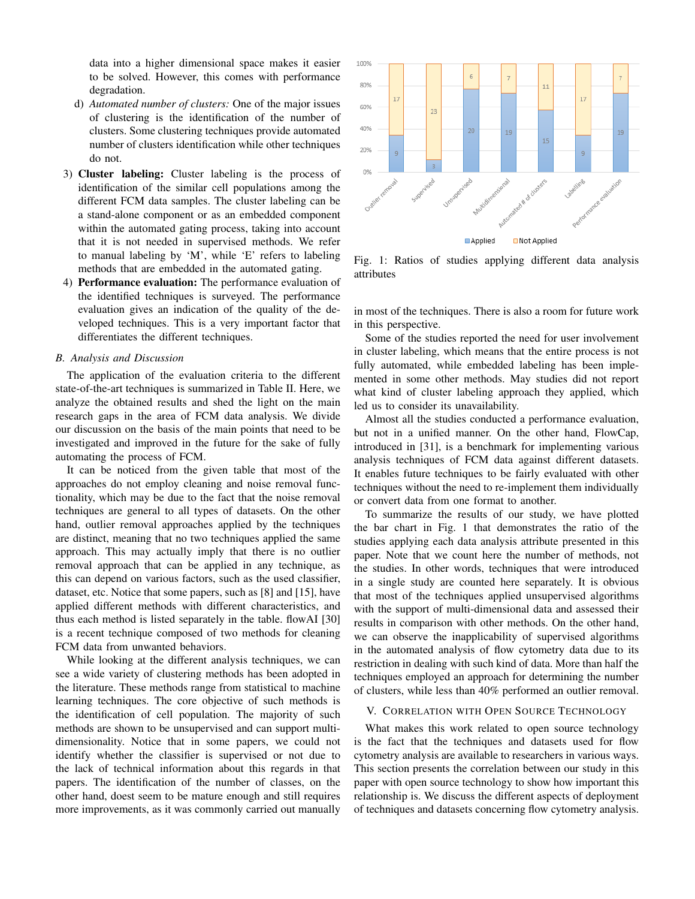data into a higher dimensional space makes it easier to be solved. However, this comes with performance degradation.

- d) *Automated number of clusters:* One of the major issues of clustering is the identification of the number of clusters. Some clustering techniques provide automated number of clusters identification while other techniques do not.
- 3) Cluster labeling: Cluster labeling is the process of identification of the similar cell populations among the different FCM data samples. The cluster labeling can be a stand-alone component or as an embedded component within the automated gating process, taking into account that it is not needed in supervised methods. We refer to manual labeling by 'M', while 'E' refers to labeling methods that are embedded in the automated gating.
- 4) Performance evaluation: The performance evaluation of the identified techniques is surveyed. The performance evaluation gives an indication of the quality of the developed techniques. This is a very important factor that differentiates the different techniques.

### *B. Analysis and Discussion*

The application of the evaluation criteria to the different state-of-the-art techniques is summarized in Table II. Here, we analyze the obtained results and shed the light on the main research gaps in the area of FCM data analysis. We divide our discussion on the basis of the main points that need to be investigated and improved in the future for the sake of fully automating the process of FCM.

It can be noticed from the given table that most of the approaches do not employ cleaning and noise removal functionality, which may be due to the fact that the noise removal techniques are general to all types of datasets. On the other hand, outlier removal approaches applied by the techniques are distinct, meaning that no two techniques applied the same approach. This may actually imply that there is no outlier removal approach that can be applied in any technique, as this can depend on various factors, such as the used classifier, dataset, etc. Notice that some papers, such as [8] and [15], have applied different methods with different characteristics, and thus each method is listed separately in the table. flowAI [30] is a recent technique composed of two methods for cleaning FCM data from unwanted behaviors.

While looking at the different analysis techniques, we can see a wide variety of clustering methods has been adopted in the literature. These methods range from statistical to machine learning techniques. The core objective of such methods is the identification of cell population. The majority of such methods are shown to be unsupervised and can support multidimensionality. Notice that in some papers, we could not identify whether the classifier is supervised or not due to the lack of technical information about this regards in that papers. The identification of the number of classes, on the other hand, doest seem to be mature enough and still requires more improvements, as it was commonly carried out manually



Fig. 1: Ratios of studies applying different data analysis attributes

in most of the techniques. There is also a room for future work in this perspective.

Some of the studies reported the need for user involvement in cluster labeling, which means that the entire process is not fully automated, while embedded labeling has been implemented in some other methods. May studies did not report what kind of cluster labeling approach they applied, which led us to consider its unavailability.

Almost all the studies conducted a performance evaluation, but not in a unified manner. On the other hand, FlowCap, introduced in [31], is a benchmark for implementing various analysis techniques of FCM data against different datasets. It enables future techniques to be fairly evaluated with other techniques without the need to re-implement them individually or convert data from one format to another.

To summarize the results of our study, we have plotted the bar chart in Fig. 1 that demonstrates the ratio of the studies applying each data analysis attribute presented in this paper. Note that we count here the number of methods, not the studies. In other words, techniques that were introduced in a single study are counted here separately. It is obvious that most of the techniques applied unsupervised algorithms with the support of multi-dimensional data and assessed their results in comparison with other methods. On the other hand, we can observe the inapplicability of supervised algorithms in the automated analysis of flow cytometry data due to its restriction in dealing with such kind of data. More than half the techniques employed an approach for determining the number of clusters, while less than 40% performed an outlier removal.

## V. CORRELATION WITH OPEN SOURCE TECHNOLOGY

What makes this work related to open source technology is the fact that the techniques and datasets used for flow cytometry analysis are available to researchers in various ways. This section presents the correlation between our study in this paper with open source technology to show how important this relationship is. We discuss the different aspects of deployment of techniques and datasets concerning flow cytometry analysis.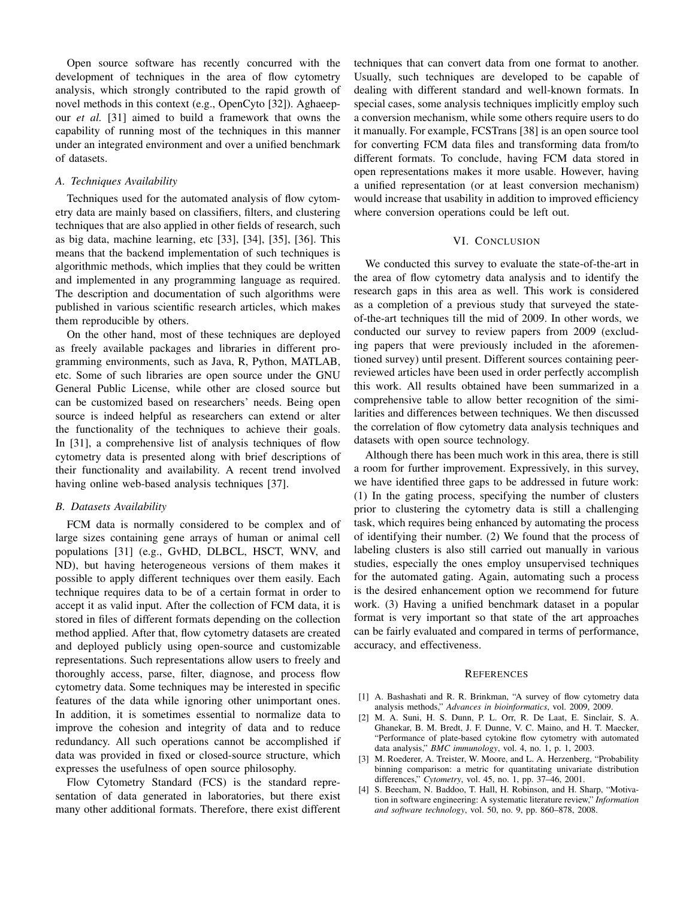Open source software has recently concurred with the development of techniques in the area of flow cytometry analysis, which strongly contributed to the rapid growth of novel methods in this context (e.g., OpenCyto [32]). Aghaeepour *et al.* [31] aimed to build a framework that owns the capability of running most of the techniques in this manner under an integrated environment and over a unified benchmark of datasets.

### *A. Techniques Availability*

Techniques used for the automated analysis of flow cytometry data are mainly based on classifiers, filters, and clustering techniques that are also applied in other fields of research, such as big data, machine learning, etc [33], [34], [35], [36]. This means that the backend implementation of such techniques is algorithmic methods, which implies that they could be written and implemented in any programming language as required. The description and documentation of such algorithms were published in various scientific research articles, which makes them reproducible by others.

On the other hand, most of these techniques are deployed as freely available packages and libraries in different programming environments, such as Java, R, Python, MATLAB, etc. Some of such libraries are open source under the GNU General Public License, while other are closed source but can be customized based on researchers' needs. Being open source is indeed helpful as researchers can extend or alter the functionality of the techniques to achieve their goals. In [31], a comprehensive list of analysis techniques of flow cytometry data is presented along with brief descriptions of their functionality and availability. A recent trend involved having online web-based analysis techniques [37].

### *B. Datasets Availability*

FCM data is normally considered to be complex and of large sizes containing gene arrays of human or animal cell populations [31] (e.g., GvHD, DLBCL, HSCT, WNV, and ND), but having heterogeneous versions of them makes it possible to apply different techniques over them easily. Each technique requires data to be of a certain format in order to accept it as valid input. After the collection of FCM data, it is stored in files of different formats depending on the collection method applied. After that, flow cytometry datasets are created and deployed publicly using open-source and customizable representations. Such representations allow users to freely and thoroughly access, parse, filter, diagnose, and process flow cytometry data. Some techniques may be interested in specific features of the data while ignoring other unimportant ones. In addition, it is sometimes essential to normalize data to improve the cohesion and integrity of data and to reduce redundancy. All such operations cannot be accomplished if data was provided in fixed or closed-source structure, which expresses the usefulness of open source philosophy.

Flow Cytometry Standard (FCS) is the standard representation of data generated in laboratories, but there exist many other additional formats. Therefore, there exist different techniques that can convert data from one format to another. Usually, such techniques are developed to be capable of dealing with different standard and well-known formats. In special cases, some analysis techniques implicitly employ such a conversion mechanism, while some others require users to do it manually. For example, FCSTrans [38] is an open source tool for converting FCM data files and transforming data from/to different formats. To conclude, having FCM data stored in open representations makes it more usable. However, having a unified representation (or at least conversion mechanism) would increase that usability in addition to improved efficiency where conversion operations could be left out.

### VI. CONCLUSION

We conducted this survey to evaluate the state-of-the-art in the area of flow cytometry data analysis and to identify the research gaps in this area as well. This work is considered as a completion of a previous study that surveyed the stateof-the-art techniques till the mid of 2009. In other words, we conducted our survey to review papers from 2009 (excluding papers that were previously included in the aforementioned survey) until present. Different sources containing peerreviewed articles have been used in order perfectly accomplish this work. All results obtained have been summarized in a comprehensive table to allow better recognition of the similarities and differences between techniques. We then discussed the correlation of flow cytometry data analysis techniques and datasets with open source technology.

Although there has been much work in this area, there is still a room for further improvement. Expressively, in this survey, we have identified three gaps to be addressed in future work: (1) In the gating process, specifying the number of clusters prior to clustering the cytometry data is still a challenging task, which requires being enhanced by automating the process of identifying their number. (2) We found that the process of labeling clusters is also still carried out manually in various studies, especially the ones employ unsupervised techniques for the automated gating. Again, automating such a process is the desired enhancement option we recommend for future work. (3) Having a unified benchmark dataset in a popular format is very important so that state of the art approaches can be fairly evaluated and compared in terms of performance, accuracy, and effectiveness.

#### **REFERENCES**

- [1] A. Bashashati and R. R. Brinkman, "A survey of flow cytometry data analysis methods," *Advances in bioinformatics*, vol. 2009, 2009.
- [2] M. A. Suni, H. S. Dunn, P. L. Orr, R. De Laat, E. Sinclair, S. A. Ghanekar, B. M. Bredt, J. F. Dunne, V. C. Maino, and H. T. Maecker, "Performance of plate-based cytokine flow cytometry with automated data analysis," *BMC immunology*, vol. 4, no. 1, p. 1, 2003.
- [3] M. Roederer, A. Treister, W. Moore, and L. A. Herzenberg, "Probability binning comparison: a metric for quantitating univariate distribution differences," *Cytometry*, vol. 45, no. 1, pp. 37–46, 2001.
- [4] S. Beecham, N. Baddoo, T. Hall, H. Robinson, and H. Sharp, "Motivation in software engineering: A systematic literature review," *Information and software technology*, vol. 50, no. 9, pp. 860–878, 2008.